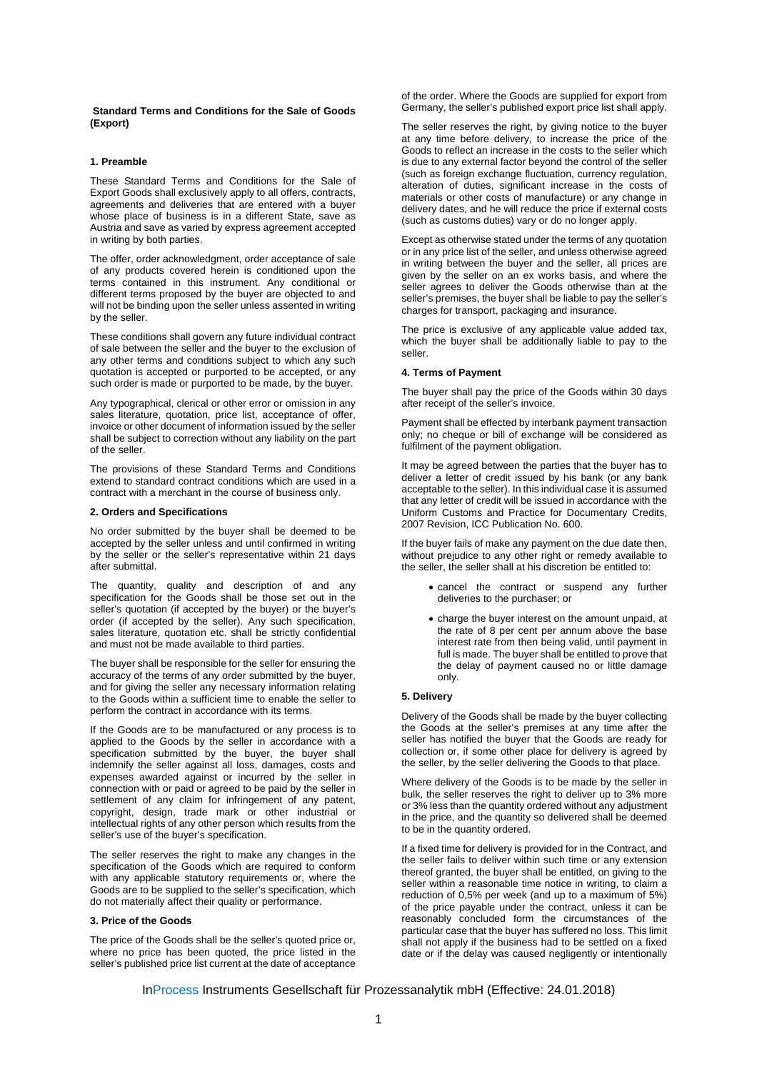**Standard Terms and Conditions for the Sale of Goods (Export)** 

### **1. Preamble**

These Standard Terms and Conditions for the Sale of Export Goods shall exclusively apply to all offers, contracts, agreements and deliveries that are entered with a buyer whose place of business is in a different State, save as Austria and save as varied by express agreement accepted in writing by both parties.

The offer, order acknowledgment, order acceptance of sale of any products covered herein is conditioned upon the terms contained in this instrument. Any conditional or different terms proposed by the buyer are objected to and will not be binding upon the seller unless assented in writing by the seller.

These conditions shall govern any future individual contract of sale between the seller and the buyer to the exclusion of any other terms and conditions subject to which any such quotation is accepted or purported to be accepted, or any such order is made or purported to be made, by the buyer.

Any typographical, clerical or other error or omission in any sales literature, quotation, price list, acceptance of offer, invoice or other document of information issued by the seller shall be subject to correction without any liability on the part of the seller.

The provisions of these Standard Terms and Conditions extend to standard contract conditions which are used in a contract with a merchant in the course of business only.

# **2. Orders and Specifications**

No order submitted by the buyer shall be deemed to be accepted by the seller unless and until confirmed in writing by the seller or the seller's representative within 21 days after submittal.

The quantity, quality and description of and any specification for the Goods shall be those set out in the seller's quotation (if accepted by the buyer) or the buyer's order (if accepted by the seller). Any such specification, sales literature, quotation etc. shall be strictly confidential and must not be made available to third parties.

The buyer shall be responsible for the seller for ensuring the accuracy of the terms of any order submitted by the buyer, and for giving the seller any necessary information relating to the Goods within a sufficient time to enable the seller to perform the contract in accordance with its terms.

If the Goods are to be manufactured or any process is to applied to the Goods by the seller in accordance with a specification submitted by the buyer, the buyer shall indemnify the seller against all loss, damages, costs and expenses awarded against or incurred by the seller in connection with or paid or agreed to be paid by the seller in settlement of any claim for infringement of any patent, copyright, design, trade mark or other industrial or intellectual rights of any other person which results from the seller's use of the buyer's specification.

The seller reserves the right to make any changes in the specification of the Goods which are required to conform with any applicable statutory requirements or, where the Goods are to be supplied to the seller's specification, which do not materially affect their quality or performance.

# **3. Price of the Goods**

The price of the Goods shall be the seller's quoted price or, where no price has been quoted, the price listed in the seller's published price list current at the date of acceptance of the order. Where the Goods are supplied for export from Germany, the seller's published export price list shall apply.

The seller reserves the right, by giving notice to the buyer at any time before delivery, to increase the price of the Goods to reflect an increase in the costs to the seller which is due to any external factor beyond the control of the seller (such as foreign exchange fluctuation, currency regulation, alteration of duties, significant increase in the costs of materials or other costs of manufacture) or any change in delivery dates, and he will reduce the price if external costs (such as customs duties) vary or do no longer apply.

Except as otherwise stated under the terms of any quotation or in any price list of the seller, and unless otherwise agreed in writing between the buyer and the seller, all prices are given by the seller on an ex works basis, and where the seller agrees to deliver the Goods otherwise than at the seller's premises, the buyer shall be liable to pay the seller's charges for transport, packaging and insurance.

The price is exclusive of any applicable value added tax, which the buyer shall be additionally liable to pay to the seller.

### **4. Terms of Payment**

The buyer shall pay the price of the Goods within 30 days after receipt of the seller's invoice.

Payment shall be effected by interbank payment transaction only; no cheque or bill of exchange will be considered as fulfilment of the payment obligation.

It may be agreed between the parties that the buyer has to deliver a letter of credit issued by his bank (or any bank acceptable to the seller). In this individual case it is assumed that any letter of credit will be issued in accordance with the Uniform Customs and Practice for Documentary Credits, 2007 Revision, ICC Publication No. 600.

If the buyer fails of make any payment on the due date then, without prejudice to any other right or remedy available to the seller, the seller shall at his discretion be entitled to:

- cancel the contract or suspend any further deliveries to the purchaser; or
- charge the buyer interest on the amount unpaid, at the rate of 8 per cent per annum above the base interest rate from then being valid, until payment in full is made. The buyer shall be entitled to prove that the delay of payment caused no or little damage only.

## **5. Delivery**

Delivery of the Goods shall be made by the buyer collecting the Goods at the seller's premises at any time after the seller has notified the buyer that the Goods are ready for collection or, if some other place for delivery is agreed by the seller, by the seller delivering the Goods to that place.

Where delivery of the Goods is to be made by the seller in bulk, the seller reserves the right to deliver up to 3% more or 3% less than the quantity ordered without any adjustment in the price, and the quantity so delivered shall be deemed to be in the quantity ordered.

If a fixed time for delivery is provided for in the Contract, and the seller fails to deliver within such time or any extension thereof granted, the buyer shall be entitled, on giving to the seller within a reasonable time notice in writing, to claim a reduction of 0,5% per week (and up to a maximum of 5%) of the price payable under the contract, unless it can be reasonably concluded form the circumstances of the particular case that the buyer has suffered no loss. This limit shall not apply if the business had to be settled on a fixed date or if the delay was caused negligently or intentionally

InProcess Instruments Gesellschaft für Prozessanalytik mbH (Effective: 24.01.2018)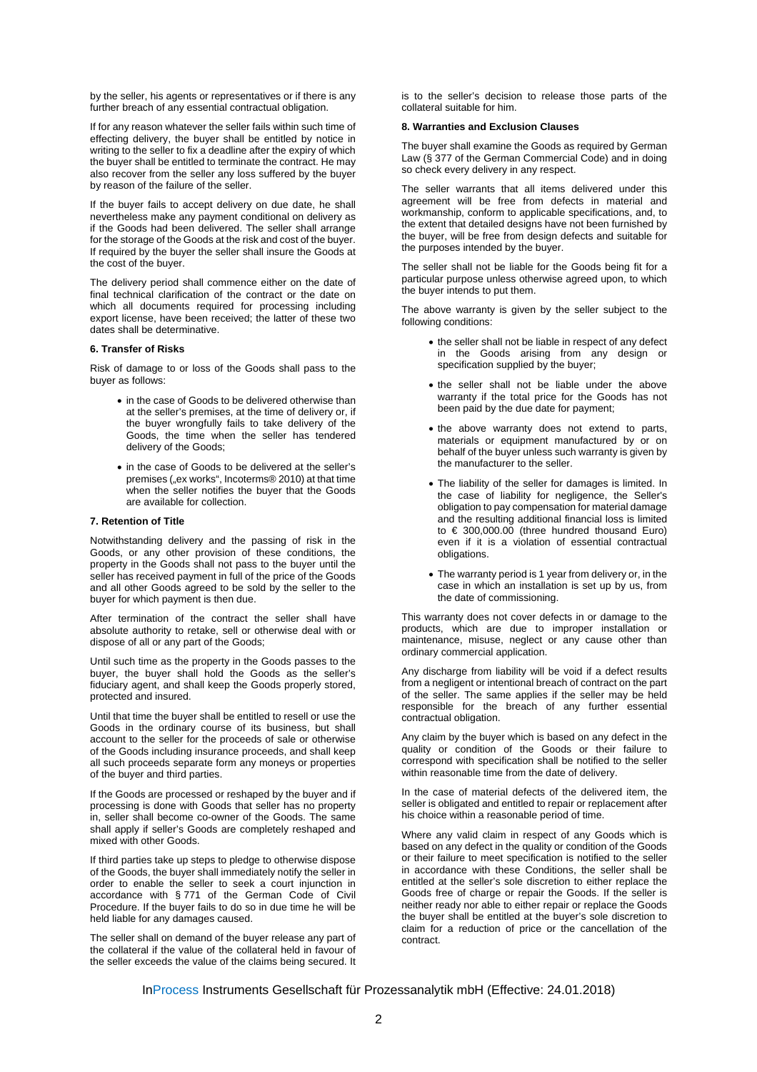by the seller, his agents or representatives or if there is any further breach of any essential contractual obligation.

If for any reason whatever the seller fails within such time of effecting delivery, the buyer shall be entitled by notice in writing to the seller to fix a deadline after the expiry of which the buyer shall be entitled to terminate the contract. He may also recover from the seller any loss suffered by the buyer by reason of the failure of the seller.

If the buyer fails to accept delivery on due date, he shall nevertheless make any payment conditional on delivery as if the Goods had been delivered. The seller shall arrange for the storage of the Goods at the risk and cost of the buyer. If required by the buyer the seller shall insure the Goods at the cost of the buyer.

The delivery period shall commence either on the date of final technical clarification of the contract or the date on which all documents required for processing including export license, have been received; the latter of these two dates shall be determinative.

### **6. Transfer of Risks**

Risk of damage to or loss of the Goods shall pass to the buyer as follows:

- in the case of Goods to be delivered otherwise than at the seller's premises, at the time of delivery or, if the buyer wrongfully fails to take delivery of the Goods, the time when the seller has tendered delivery of the Goods;
- in the case of Goods to be delivered at the seller's premises ("ex works", Incoterms® 2010) at that time when the seller notifies the buyer that the Goods are available for collection.

# **7. Retention of Title**

Notwithstanding delivery and the passing of risk in the Goods, or any other provision of these conditions, the property in the Goods shall not pass to the buyer until the seller has received payment in full of the price of the Goods and all other Goods agreed to be sold by the seller to the buyer for which payment is then due.

After termination of the contract the seller shall have absolute authority to retake, sell or otherwise deal with or dispose of all or any part of the Goods;

Until such time as the property in the Goods passes to the buyer, the buyer shall hold the Goods as the seller's fiduciary agent, and shall keep the Goods properly stored, protected and insured.

Until that time the buyer shall be entitled to resell or use the Goods in the ordinary course of its business, but shall account to the seller for the proceeds of sale or otherwise of the Goods including insurance proceeds, and shall keep all such proceeds separate form any moneys or properties of the buyer and third parties.

If the Goods are processed or reshaped by the buyer and if processing is done with Goods that seller has no property in, seller shall become co-owner of the Goods. The same shall apply if seller's Goods are completely reshaped and mixed with other Goods.

If third parties take up steps to pledge to otherwise dispose of the Goods, the buyer shall immediately notify the seller in order to enable the seller to seek a court injunction in accordance with § 771 of the German Code of Civil Procedure. If the buyer fails to do so in due time he will be held liable for any damages caused.

The seller shall on demand of the buyer release any part of the collateral if the value of the collateral held in favour of the seller exceeds the value of the claims being secured. It is to the seller's decision to release those parts of the collateral suitable for him.

### **8. Warranties and Exclusion Clauses**

The buyer shall examine the Goods as required by German Law (§ 377 of the German Commercial Code) and in doing so check every delivery in any respect.

The seller warrants that all items delivered under this agreement will be free from defects in material and workmanship, conform to applicable specifications, and, to the extent that detailed designs have not been furnished by the buyer, will be free from design defects and suitable for the purposes intended by the buyer.

The seller shall not be liable for the Goods being fit for a particular purpose unless otherwise agreed upon, to which the buyer intends to put them.

The above warranty is given by the seller subject to the following conditions:

- the seller shall not be liable in respect of any defect in the Goods arising from any design or specification supplied by the buyer;
- the seller shall not be liable under the above warranty if the total price for the Goods has not been paid by the due date for payment;
- the above warranty does not extend to parts, materials or equipment manufactured by or on behalf of the buyer unless such warranty is given by the manufacturer to the seller.
- The liability of the seller for damages is limited. In the case of liability for negligence, the Seller's obligation to pay compensation for material damage and the resulting additional financial loss is limited to € 300,000.00 (three hundred thousand Euro) even if it is a violation of essential contractual obligations
- The warranty period is 1 year from delivery or, in the case in which an installation is set up by us, from the date of commissioning.

This warranty does not cover defects in or damage to the products, which are due to improper installation or maintenance, misuse, neglect or any cause other than ordinary commercial application.

Any discharge from liability will be void if a defect results from a negligent or intentional breach of contract on the part of the seller. The same applies if the seller may be held responsible for the breach of any further essential contractual obligation.

Any claim by the buyer which is based on any defect in the quality or condition of the Goods or their failure to correspond with specification shall be notified to the seller within reasonable time from the date of delivery.

In the case of material defects of the delivered item, the seller is obligated and entitled to repair or replacement after his choice within a reasonable period of time.

Where any valid claim in respect of any Goods which is based on any defect in the quality or condition of the Goods or their failure to meet specification is notified to the seller in accordance with these Conditions, the seller shall be entitled at the seller's sole discretion to either replace the Goods free of charge or repair the Goods. If the seller is neither ready nor able to either repair or replace the Goods the buyer shall be entitled at the buyer's sole discretion to claim for a reduction of price or the cancellation of the contract.

InProcess Instruments Gesellschaft für Prozessanalytik mbH (Effective: 24.01.2018)